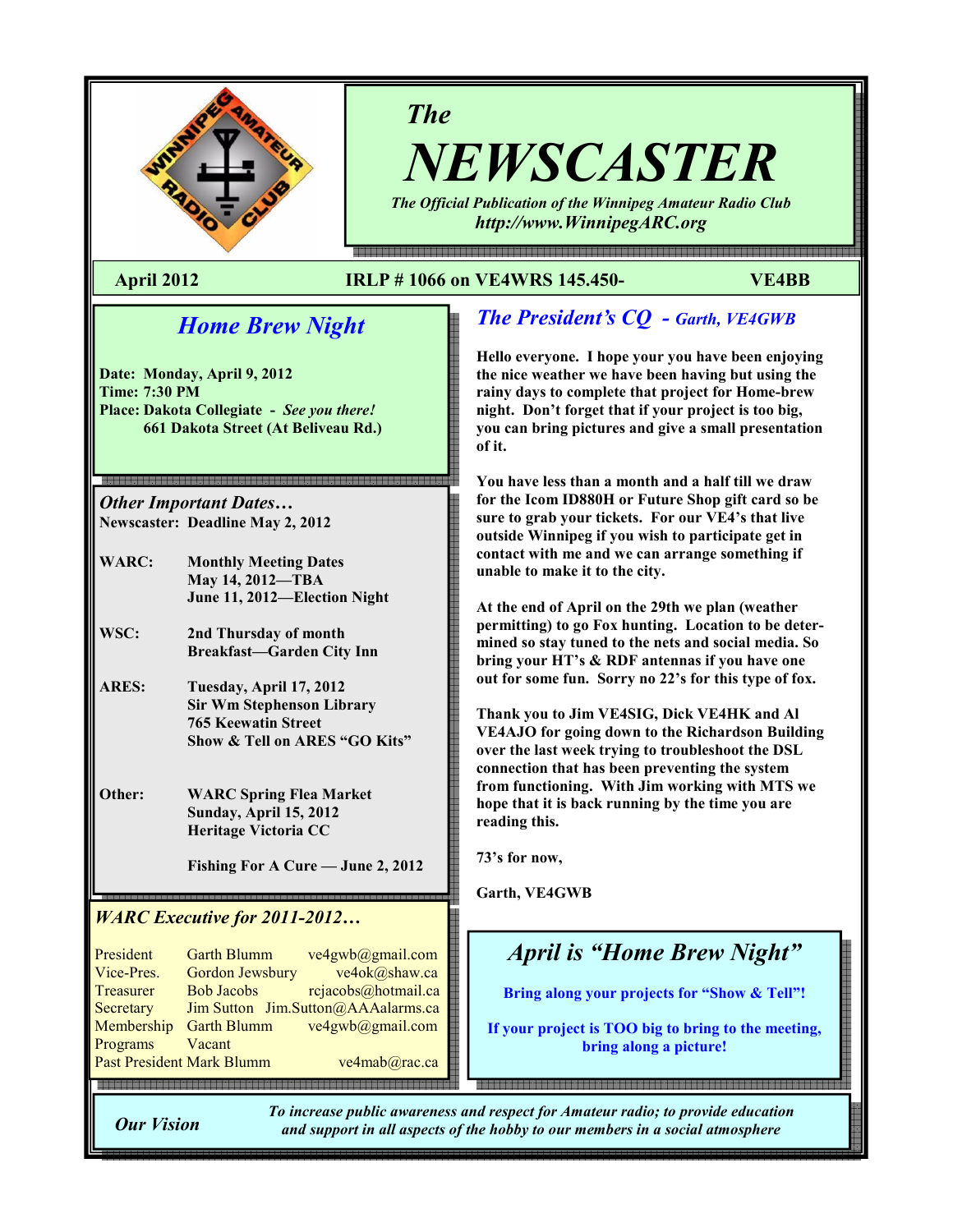

# The

NEWSCASTER The Official Publication of the Winnipeg Amateur Radio Club

http://www.WinnipegARC.org

e endemaanden en aangelen op de en de en de en de en de aangelen en de en de en de en de en de en de en de en d

### April 2012 IRLP # 1066 on VE4WRS 145.450- VE4BB

# Home Brew Night

Date: Monday, April 9, 2012 Time: 7:30 PM Place: Dakota Collegiate - See you there! 661 Dakota Street (At Beliveau Rd.)

Other Important Dates… Newscaster: Deadline May 2, 2012

- WARC: Monthly Meeting Dates May 14, 2012—TBA June 11, 2012—Election Night
- WSC: 2nd Thursday of month Breakfast—Garden City Inn
- ARES: Tuesday, April 17, 2012 Sir Wm Stephenson Library 765 Keewatin Street Show & Tell on ARES "GO Kits"

Other: WARC Spring Flea Market Sunday, April 15, 2012 Heritage Victoria CC

Fishing For A Cure — June 2, 2012

### WARC Executive for 2011-2012…

President Garth Blumm ve4gwb@gmail.com Vice-Pres. Gordon Jewsbury ve4ok@shaw.ca Treasurer Bob Jacobs rejacobs@hotmail.ca Secretary Jim Sutton Jim.Sutton@AAAalarms.ca Membership Garth Blumm ve4gwb@gmail.com<br>Programs Vacant Programs Past President Mark Blumm ve4mab@rac.ca

# The President's CQ - Garth, VE4GWB

Hello everyone. I hope your you have been enjoying the nice weather we have been having but using the rainy days to complete that project for Home-brew night. Don't forget that if your project is too big, you can bring pictures and give a small presentation of it.

You have less than a month and a half till we draw for the Icom ID880H or Future Shop gift card so be sure to grab your tickets. For our VE4's that live outside Winnipeg if you wish to participate get in contact with me and we can arrange something if unable to make it to the city.

At the end of April on the 29th we plan (weather permitting) to go Fox hunting. Location to be determined so stay tuned to the nets and social media. So bring your HT's & RDF antennas if you have one out for some fun. Sorry no 22's for this type of fox.

Thank you to Jim VE4SIG, Dick VE4HK and Al VE4AJO for going down to the Richardson Building over the last week trying to troubleshoot the DSL connection that has been preventing the system from functioning. With Jim working with MTS we hope that it is back running by the time you are reading this.

73's for now,

Garth, VE4GWB

# April is "Home Brew Night"

Bring along your projects for "Show & Tell"!

If your project is TOO big to bring to the meeting, bring along a picture!

Our Vision

To increase public awareness and respect for Amateur radio; to provide education and support in all aspects of the hobby to our members in a social atmosphere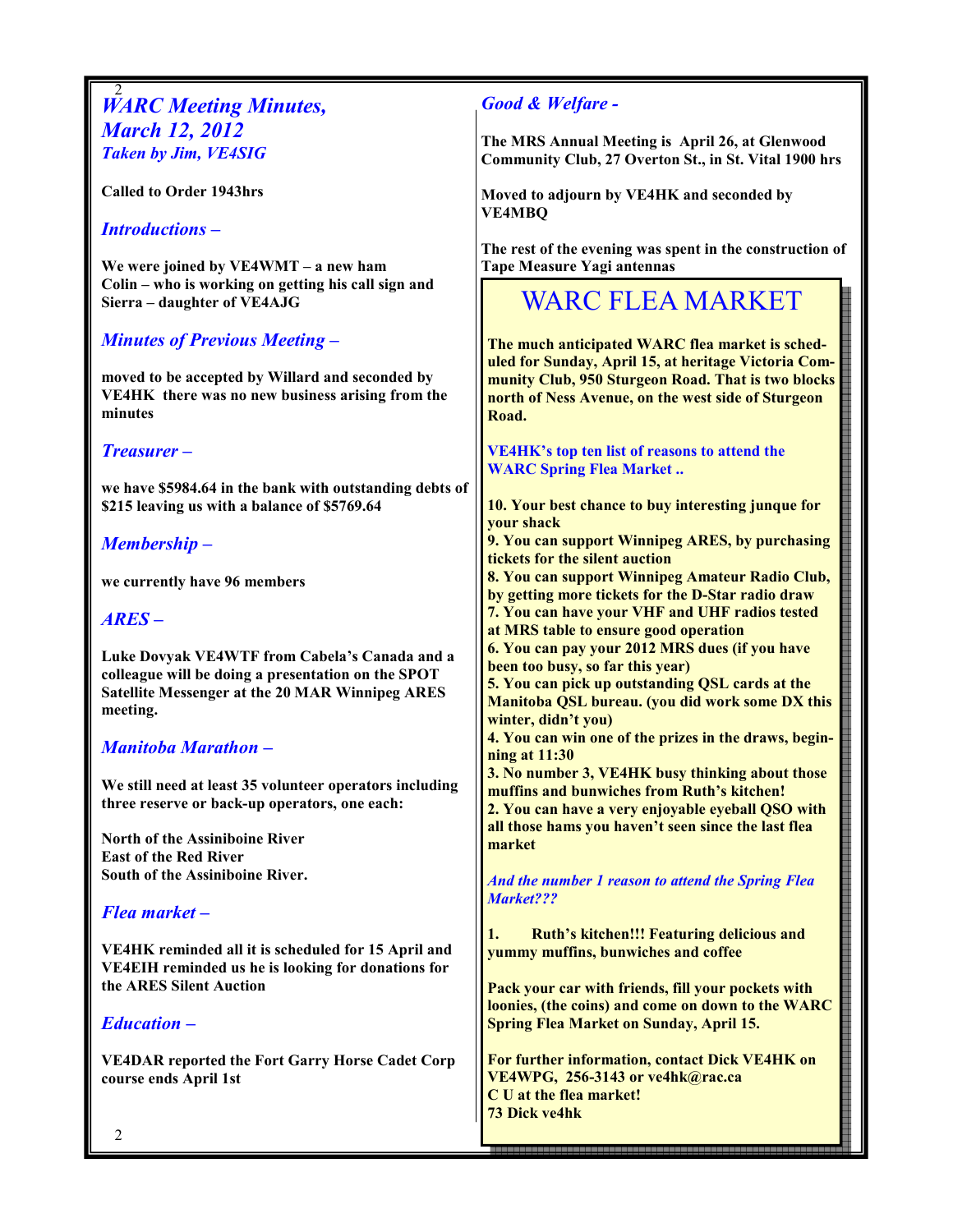#### 2 **WARC Meeting Minutes,** March 12, 2012 Taken by Jim, VE4SIG

Called to Order 1943hrs

#### Introductions –

We were joined by VE4WMT – a new ham Colin – who is working on getting his call sign and Sierra – daughter of VE4AJG

### Minutes of Previous Meeting –

moved to be accepted by Willard and seconded by VE4HK there was no new business arising from the minutes

#### Treasurer –

we have \$5984.64 in the bank with outstanding debts of \$215 leaving us with a balance of \$5769.64

### Membership –

we currently have 96 members

#### ARES –

Luke Dovyak VE4WTF from Cabela's Canada and a colleague will be doing a presentation on the SPOT Satellite Messenger at the 20 MAR Winnipeg ARES meeting.

### Manitoba Marathon –

We still need at least 35 volunteer operators including three reserve or back-up operators, one each:

North of the Assiniboine River East of the Red River South of the Assiniboine River.

#### Flea market –

VE4HK reminded all it is scheduled for 15 April and VE4EIH reminded us he is looking for donations for the ARES Silent Auction

#### Education –

VE4DAR reported the Fort Garry Horse Cadet Corp course ends April 1st

### Good & Welfare -

The MRS Annual Meeting is April 26, at Glenwood Community Club, 27 Overton St., in St. Vital 1900 hrs

Moved to adjourn by VE4HK and seconded by VE4MBQ

The rest of the evening was spent in the construction of Tape Measure Yagi antennas

# WARC FLEA MARKET

The much anticipated WARC flea market is scheduled for Sunday, April 15, at heritage Victoria Community Club, 950 Sturgeon Road. That is two blocks north of Ness Avenue, on the west side of Sturgeon Road.

VE4HK's top ten list of reasons to attend the WARC Spring Flea Market ..

10. Your best chance to buy interesting junque for your shack

9. You can support Winnipeg ARES, by purchasing tickets for the silent auction

8. You can support Winnipeg Amateur Radio Club,

by getting more tickets for the D-Star radio draw

7. You can have your VHF and UHF radios tested

at MRS table to ensure good operation

6. You can pay your 2012 MRS dues (if you have been too busy, so far this year)

5. You can pick up outstanding QSL cards at the Manitoba QSL bureau. (you did work some DX this winter, didn't you)

4. You can win one of the prizes in the draws, beginning at 11:30

3. No number 3, VE4HK busy thinking about those muffins and bunwiches from Ruth's kitchen!

2. You can have a very enjoyable eyeball QSO with all those hams you haven't seen since the last flea market

And the number 1 reason to attend the Spring Flea Market???

1. Ruth's kitchen!!! Featuring delicious and yummy muffins, bunwiches and coffee

Pack your car with friends, fill your pockets with loonies, (the coins) and come on down to the WARC Spring Flea Market on Sunday, April 15.

For further information, contact Dick VE4HK on VE4WPG, 256-3143 or ve4hk@rac.ca C U at the flea market! 73 Dick ve4hk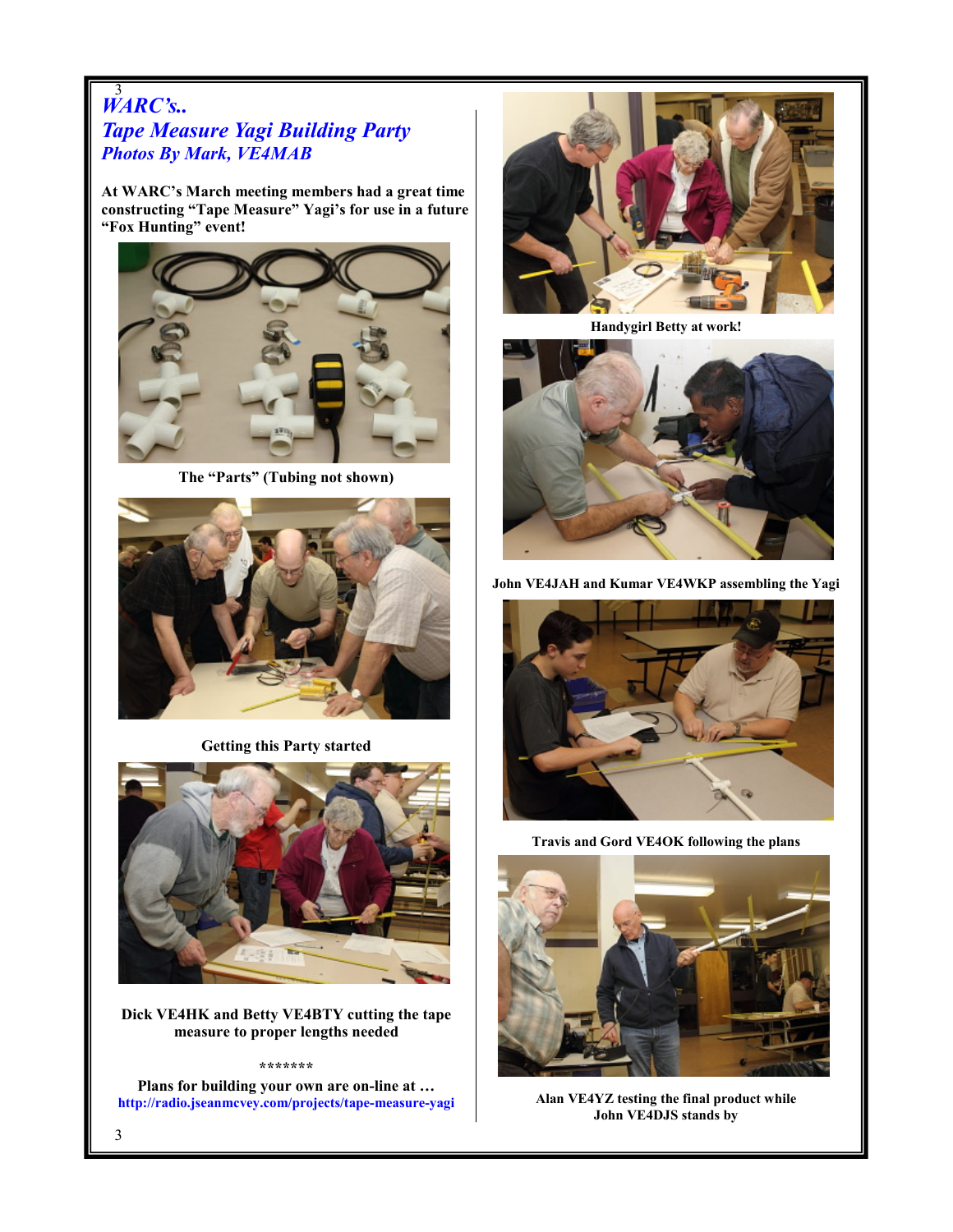### 3 WARC's.. Tape Measure Yagi Building Party Photos By Mark, VE4MAB

At WARC's March meeting members had a great time constructing "Tape Measure" Yagi's for use in a future "Fox Hunting" event!



The "Parts" (Tubing not shown)



Getting this Party started



Dick VE4HK and Betty VE4BTY cutting the tape measure to proper lengths needed

#### \*\*\*\*\*\*\*

Plans for building your own are on-line at … http://radio.jseanmcvey.com/projects/tape-measure-yagi



Handygirl Betty at work!



John VE4JAH and Kumar VE4WKP assembling the Yagi



Travis and Gord VE4OK following the plans



Alan VE4YZ testing the final product while John VE4DJS stands by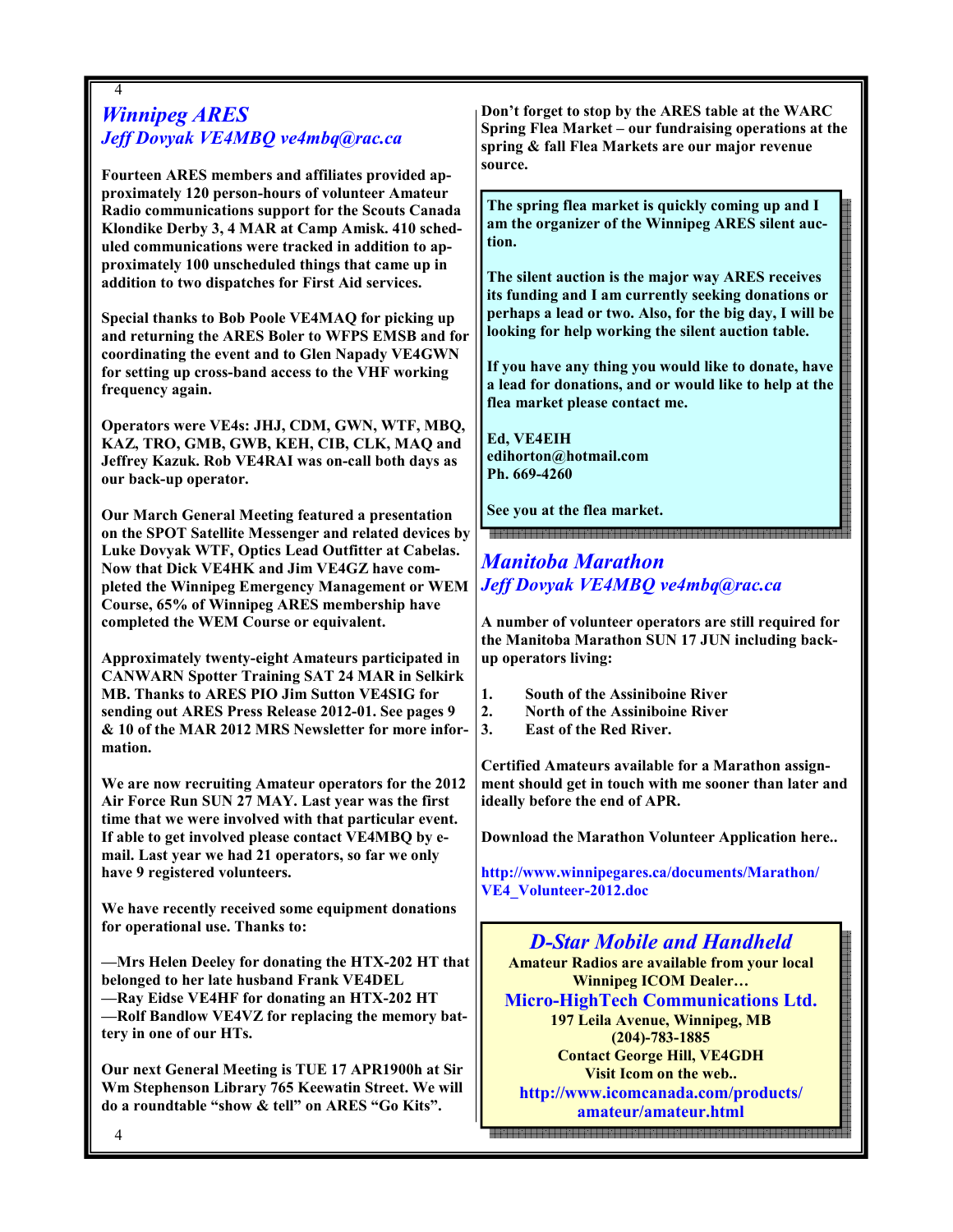### 4 Winnipeg ARES Jeff Dovyak VE4MBQ ve4mbq@rac.ca

Fourteen ARES members and affiliates provided approximately 120 person-hours of volunteer Amateur Radio communications support for the Scouts Canada Klondike Derby 3, 4 MAR at Camp Amisk. 410 scheduled communications were tracked in addition to approximately 100 unscheduled things that came up in addition to two dispatches for First Aid services.

Special thanks to Bob Poole VE4MAQ for picking up and returning the ARES Boler to WFPS EMSB and for coordinating the event and to Glen Napady VE4GWN for setting up cross-band access to the VHF working frequency again.

Operators were VE4s: JHJ, CDM, GWN, WTF, MBQ, KAZ, TRO, GMB, GWB, KEH, CIB, CLK, MAQ and Jeffrey Kazuk. Rob VE4RAI was on-call both days as our back-up operator.

Our March General Meeting featured a presentation on the SPOT Satellite Messenger and related devices by Luke Dovyak WTF, Optics Lead Outfitter at Cabelas. Now that Dick VE4HK and Jim VE4GZ have completed the Winnipeg Emergency Management or WEM Course, 65% of Winnipeg ARES membership have completed the WEM Course or equivalent.

Approximately twenty-eight Amateurs participated in CANWARN Spotter Training SAT 24 MAR in Selkirk MB. Thanks to ARES PIO Jim Sutton VE4SIG for sending out ARES Press Release 2012-01. See pages 9 & 10 of the MAR 2012 MRS Newsletter for more information.

We are now recruiting Amateur operators for the 2012 Air Force Run SUN 27 MAY. Last year was the first time that we were involved with that particular event. If able to get involved please contact VE4MBQ by email. Last year we had 21 operators, so far we only have 9 registered volunteers.

We have recently received some equipment donations for operational use. Thanks to:

—Mrs Helen Deeley for donating the HTX-202 HT that belonged to her late husband Frank VE4DEL —Ray Eidse VE4HF for donating an HTX-202 HT —Rolf Bandlow VE4VZ for replacing the memory battery in one of our HTs.

Our next General Meeting is TUE 17 APR1900h at Sir Wm Stephenson Library 765 Keewatin Street. We will do a roundtable "show & tell" on ARES "Go Kits".

Don't forget to stop by the ARES table at the WARC Spring Flea Market – our fundraising operations at the spring & fall Flea Markets are our major revenue source.

The spring flea market is quickly coming up and I am the organizer of the Winnipeg ARES silent auction.

The silent auction is the major way ARES receives its funding and I am currently seeking donations or perhaps a lead or two. Also, for the big day, I will be looking for help working the silent auction table.

If you have any thing you would like to donate, have a lead for donations, and or would like to help at the flea market please contact me.

Ed, VE4EIH edihorton@hotmail.com Ph. 669-4260

See you at the flea market.

# Manitoba Marathon Jeff Dovyak VE4MBQ ve4mbq@rac.ca

A number of volunteer operators are still required for the Manitoba Marathon SUN 17 JUN including backup operators living:

- 1. South of the Assiniboine River
- 2. North of the Assiniboine River
- 3. East of the Red River.

Certified Amateurs available for a Marathon assignment should get in touch with me sooner than later and ideally before the end of APR.

Download the Marathon Volunteer Application here..

http://www.winnipegares.ca/documents/Marathon/ VE4\_Volunteer-2012.doc

D-Star Mobile and Handheld Amateur Radios are available from your local Winnipeg ICOM Dealer… Micro-HighTech Communications Ltd. 197 Leila Avenue, Winnipeg, MB (204)-783-1885 Contact George Hill, VE4GDH Visit Icom on the web.. http://www.icomcanada.com/products/ amateur/amateur.html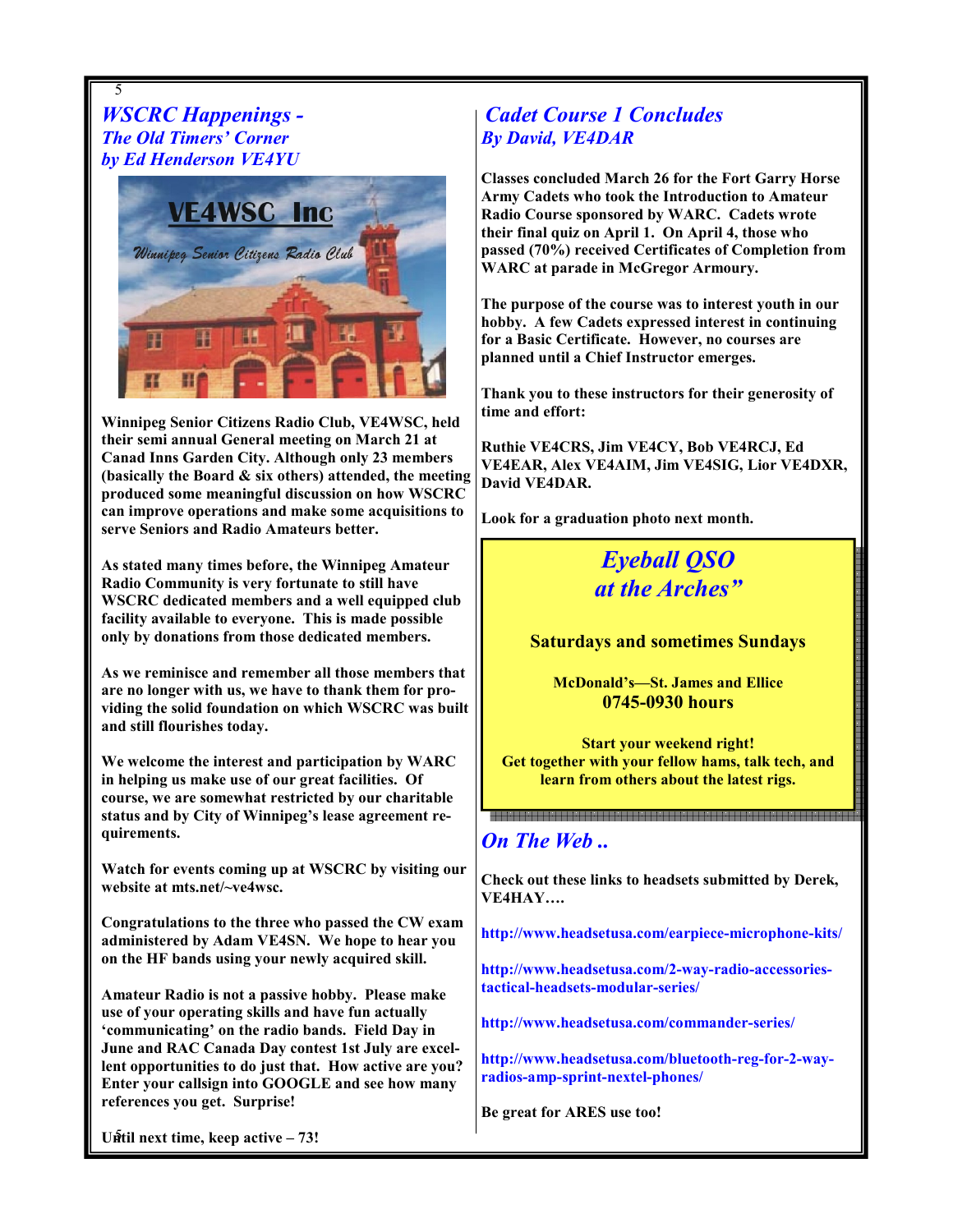5 WSCRC Happenings - The Old Timers' Corner by Ed Henderson VE4YU



Winnipeg Senior Citizens Radio Club, VE4WSC, held their semi annual General meeting on March 21 at Canad Inns Garden City. Although only 23 members (basically the Board  $\&$  six others) attended, the meeting produced some meaningful discussion on how WSCRC can improve operations and make some acquisitions to serve Seniors and Radio Amateurs better.

As stated many times before, the Winnipeg Amateur Radio Community is very fortunate to still have WSCRC dedicated members and a well equipped club facility available to everyone. This is made possible only by donations from those dedicated members.

As we reminisce and remember all those members that are no longer with us, we have to thank them for providing the solid foundation on which WSCRC was built and still flourishes today.

We welcome the interest and participation by WARC in helping us make use of our great facilities. Of course, we are somewhat restricted by our charitable status and by City of Winnipeg's lease agreement requirements.

Watch for events coming up at WSCRC by visiting our website at mts.net/~ve4wsc.

Congratulations to the three who passed the CW exam administered by Adam VE4SN. We hope to hear you on the HF bands using your newly acquired skill.

Amateur Radio is not a passive hobby. Please make use of your operating skills and have fun actually 'communicating' on the radio bands. Field Day in June and RAC Canada Day contest 1st July are excellent opportunities to do just that. How active are you? Enter your callsign into GOOGLE and see how many references you get. Surprise!

# Cadet Course 1 Concludes By David, VE4DAR

Classes concluded March 26 for the Fort Garry Horse Army Cadets who took the Introduction to Amateur Radio Course sponsored by WARC. Cadets wrote their final quiz on April 1. On April 4, those who passed (70%) received Certificates of Completion from WARC at parade in McGregor Armoury.

The purpose of the course was to interest youth in our hobby. A few Cadets expressed interest in continuing for a Basic Certificate. However, no courses are planned until a Chief Instructor emerges.

Thank you to these instructors for their generosity of time and effort:

Ruthie VE4CRS, Jim VE4CY, Bob VE4RCJ, Ed VE4EAR, Alex VE4AIM, Jim VE4SIG, Lior VE4DXR, David VE4DAR.

Look for a graduation photo next month.

Eyeball QSO at the Arches"

### Saturdays and sometimes Sundays

McDonald's—St. James and Ellice 0745-0930 hours

Start your weekend right! Get together with your fellow hams, talk tech, and learn from others about the latest rigs.

# On The Web ..

Check out these links to headsets submitted by Derek, VE4HAY….

http://www.headsetusa.com/earpiece-microphone-kits/

http://www.headsetusa.com/2-way-radio-accessoriestactical-headsets-modular-series/

http://www.headsetusa.com/commander-series/

http://www.headsetusa.com/bluetooth-reg-for-2-wayradios-amp-sprint-nextel-phones/

Be great for ARES use too!

Until next time, keep active - 73!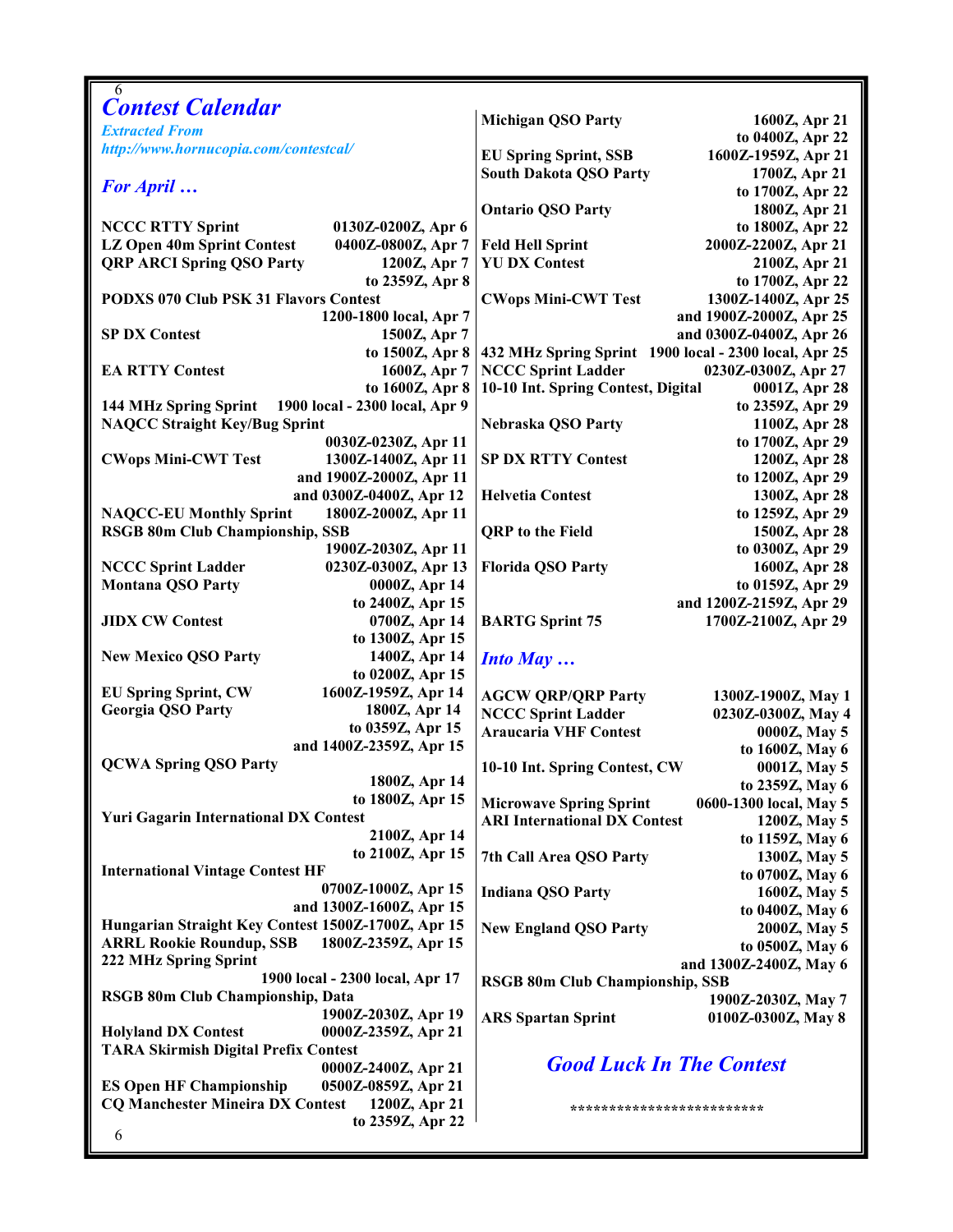| 6                                                        |                                                          |  |  |
|----------------------------------------------------------|----------------------------------------------------------|--|--|
| <b>Contest Calendar</b>                                  | <b>Michigan QSO Party</b><br>1600Z, Apr 21               |  |  |
| <b>Extracted From</b>                                    | to 0400Z, Apr 22                                         |  |  |
| http://www.hornucopia.com/contestcal/                    | 1600Z-1959Z, Apr 21<br><b>EU Spring Sprint, SSB</b>      |  |  |
|                                                          | <b>South Dakota QSO Party</b><br>1700Z, Apr 21           |  |  |
| <b>For April</b>                                         | to 1700Z, Apr 22                                         |  |  |
|                                                          | <b>Ontario QSO Party</b><br>1800Z, Apr 21                |  |  |
| <b>NCCC RTTY Sprint</b><br>0130Z-0200Z, Apr 6            | to 1800Z, Apr 22                                         |  |  |
| LZ Open 40m Sprint Contest<br>0400Z-0800Z, Apr 7         | 2000Z-2200Z, Apr 21<br><b>Feld Hell Sprint</b>           |  |  |
| <b>QRP ARCI Spring QSO Party</b><br>1200Z, Apr 7         | <b>YU DX Contest</b><br>2100Z, Apr 21                    |  |  |
| to 2359Z, Apr 8                                          | to 1700Z, Apr 22                                         |  |  |
| <b>PODXS 070 Club PSK 31 Flavors Contest</b>             | <b>CWops Mini-CWT Test</b><br>1300Z-1400Z, Apr 25        |  |  |
| 1200-1800 local, Apr 7                                   | and 1900Z-2000Z, Apr 25                                  |  |  |
| <b>SP DX Contest</b><br>1500Z, Apr 7                     | and 0300Z-0400Z, Apr 26                                  |  |  |
| to 1500Z, Apr 8                                          | 432 MHz Spring Sprint 1900 local - 2300 local, Apr 25    |  |  |
| <b>EA RTTY Contest</b><br>1600Z, Apr 7                   | <b>NCCC Sprint Ladder</b><br>0230Z-0300Z, Apr 27         |  |  |
| to 1600Z, Apr 8                                          | 10-10 Int. Spring Contest, Digital                       |  |  |
|                                                          | 0001Z, Apr 28                                            |  |  |
| 1900 local - 2300 local, Apr 9<br>144 MHz Spring Sprint  | to 2359Z, Apr 29                                         |  |  |
| <b>NAQCC Straight Key/Bug Sprint</b>                     | Nebraska QSO Party<br>1100Z, Apr 28                      |  |  |
| 0030Z-0230Z, Apr 11                                      | to 1700Z, Apr 29<br><b>SP DX RTTY Contest</b>            |  |  |
| <b>CWops Mini-CWT Test</b><br>1300Z-1400Z, Apr 11        | 1200Z, Apr 28                                            |  |  |
| and 1900Z-2000Z, Apr 11                                  | to 1200Z, Apr 29                                         |  |  |
| and 0300Z-0400Z, Apr 12                                  | <b>Helvetia Contest</b><br>1300Z, Apr 28                 |  |  |
| <b>NAQCC-EU Monthly Sprint</b><br>1800Z-2000Z, Apr 11    | to 1259Z, Apr 29                                         |  |  |
| <b>RSGB 80m Club Championship, SSB</b>                   | <b>QRP</b> to the Field<br>1500Z, Apr 28                 |  |  |
| 1900Z-2030Z, Apr 11                                      | to 0300Z, Apr 29                                         |  |  |
| 0230Z-0300Z, Apr 13<br><b>NCCC Sprint Ladder</b>         | <b>Florida QSO Party</b><br>1600Z, Apr 28                |  |  |
| <b>Montana QSO Party</b><br>0000Z, Apr 14                | to 0159Z, Apr 29                                         |  |  |
| to 2400Z, Apr 15                                         | and 1200Z-2159Z, Apr 29                                  |  |  |
| <b>JIDX CW Contest</b><br>0700Z, Apr 14                  | <b>BARTG Sprint 75</b><br>1700Z-2100Z, Apr 29            |  |  |
| to 1300Z, Apr 15                                         |                                                          |  |  |
| <b>New Mexico QSO Party</b><br>1400Z, Apr 14             | <b>Into May </b>                                         |  |  |
| to 0200Z, Apr 15                                         |                                                          |  |  |
| 1600Z-1959Z, Apr 14<br><b>EU Spring Sprint, CW</b>       | <b>AGCW QRP/QRP Party</b><br>1300Z-1900Z, May 1          |  |  |
| <b>Georgia QSO Party</b><br>1800Z, Apr 14                | <b>NCCC Sprint Ladder</b><br>0230Z-0300Z, May 4          |  |  |
| to 0359Z, Apr 15                                         | <b>Araucaria VHF Contest</b><br>0000Z, May 5             |  |  |
| and 1400Z-2359Z, Apr 15                                  | to 1600Z, May 6                                          |  |  |
| <b>QCWA Spring QSO Party</b>                             | 10-10 Int. Spring Contest, CW<br>0001Z, May 5            |  |  |
| 1800Z, Apr 14                                            | to 2359Z, May 6                                          |  |  |
| to 1800Z, Apr 15                                         | <b>Microwave Spring Sprint</b><br>0600-1300 local, May 5 |  |  |
| <b>Yuri Gagarin International DX Contest</b>             | <b>ARI International DX Contest</b><br>1200Z, May 5      |  |  |
| 2100Z, Apr 14                                            | to 1159Z, May 6                                          |  |  |
| to 2100Z, Apr 15                                         | 7th Call Area QSO Party<br>1300Z, May 5                  |  |  |
| <b>International Vintage Contest HF</b>                  | to 0700Z, May 6                                          |  |  |
| 0700Z-1000Z, Apr 15                                      | <b>Indiana QSO Party</b><br>1600Z, May 5                 |  |  |
| and 1300Z-1600Z, Apr 15                                  | to 0400Z, May 6                                          |  |  |
| Hungarian Straight Key Contest 1500Z-1700Z, Apr 15       | <b>New England QSO Party</b><br>2000Z, May 5             |  |  |
| <b>ARRL Rookie Roundup, SSB</b><br>1800Z-2359Z, Apr 15   | to 0500Z, May 6                                          |  |  |
| 222 MHz Spring Sprint                                    | and 1300Z-2400Z, May 6                                   |  |  |
| 1900 local - 2300 local, Apr 17                          | <b>RSGB 80m Club Championship, SSB</b>                   |  |  |
| RSGB 80m Club Championship, Data                         | 1900Z-2030Z, May 7                                       |  |  |
| 1900Z-2030Z, Apr 19                                      | <b>ARS Spartan Sprint</b><br>0100Z-0300Z, May 8          |  |  |
| <b>Holyland DX Contest</b><br>0000Z-2359Z, Apr 21        |                                                          |  |  |
| <b>TARA Skirmish Digital Prefix Contest</b>              |                                                          |  |  |
| 0000Z-2400Z, Apr 21                                      | <b>Good Luck In The Contest</b>                          |  |  |
| <b>ES Open HF Championship</b><br>0500Z-0859Z, Apr 21    |                                                          |  |  |
| <b>CQ Manchester Mineira DX Contest</b><br>1200Z, Apr 21 | *************************                                |  |  |
| to 2359Z, Apr 22                                         |                                                          |  |  |
| 6                                                        |                                                          |  |  |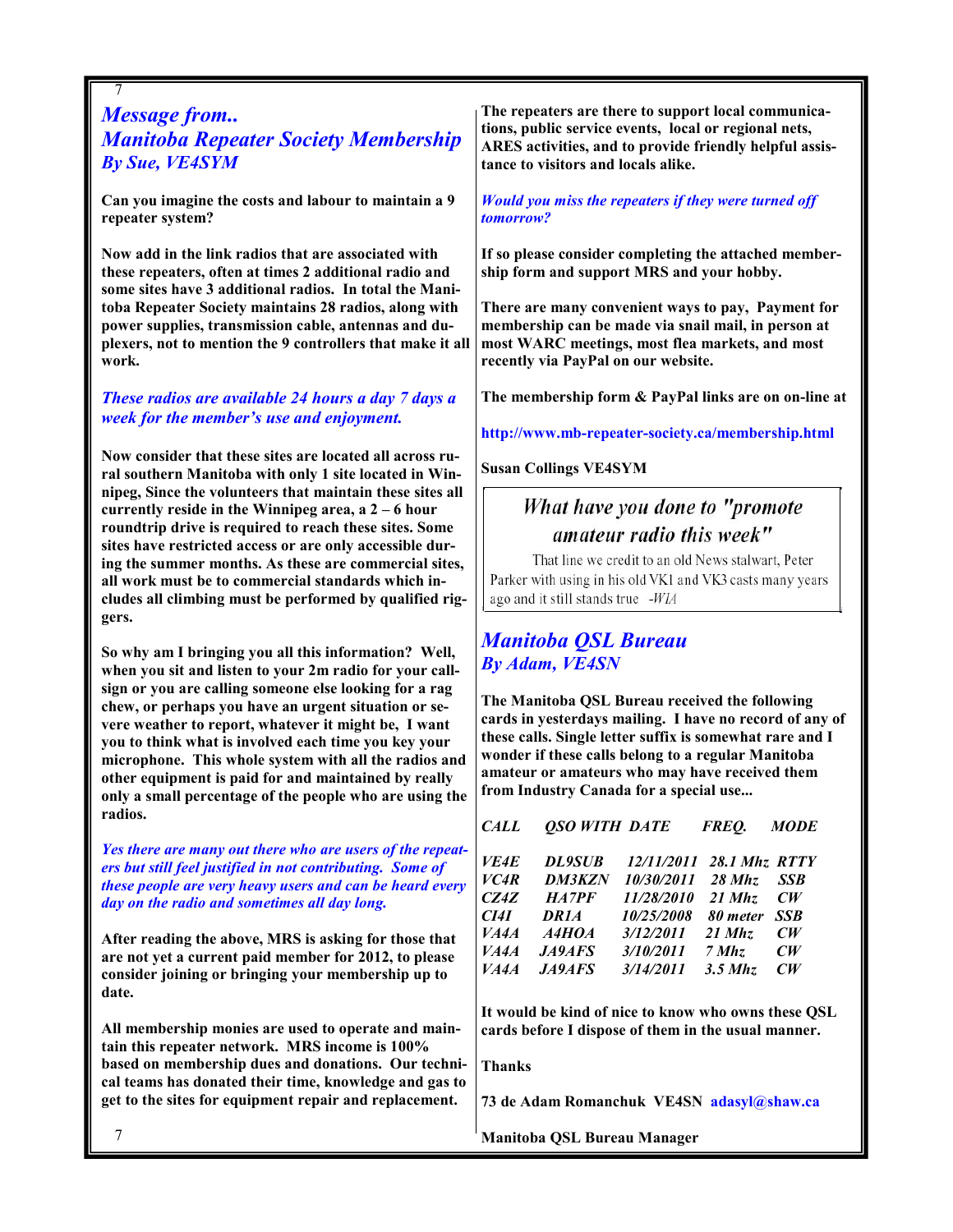# 7 Message from.. Manitoba Repeater Society Membership By Sue, VE4SYM

Can you imagine the costs and labour to maintain a 9 repeater system?

Now add in the link radios that are associated with these repeaters, often at times 2 additional radio and some sites have 3 additional radios. In total the Manitoba Repeater Society maintains 28 radios, along with power supplies, transmission cable, antennas and duplexers, not to mention the 9 controllers that make it all work.

These radios are available 24 hours a day 7 days a week for the member's use and enjoyment.

Now consider that these sites are located all across rural southern Manitoba with only 1 site located in Winnipeg, Since the volunteers that maintain these sites all currently reside in the Winnipeg area,  $a^2 - 6$  hour roundtrip drive is required to reach these sites. Some sites have restricted access or are only accessible during the summer months. As these are commercial sites, all work must be to commercial standards which includes all climbing must be performed by qualified riggers.

So why am I bringing you all this information? Well, when you sit and listen to your 2m radio for your callsign or you are calling someone else looking for a rag chew, or perhaps you have an urgent situation or severe weather to report, whatever it might be, I want you to think what is involved each time you key your microphone. This whole system with all the radios and other equipment is paid for and maintained by really only a small percentage of the people who are using the radios.

Yes there are many out there who are users of the repeaters but still feel justified in not contributing. Some of these people are very heavy users and can be heard every day on the radio and sometimes all day long.

After reading the above, MRS is asking for those that are not yet a current paid member for 2012, to please consider joining or bringing your membership up to date.

All membership monies are used to operate and maintain this repeater network. MRS income is 100% based on membership dues and donations. Our technical teams has donated their time, knowledge and gas to get to the sites for equipment repair and replacement.

The repeaters are there to support local communications, public service events, local or regional nets, ARES activities, and to provide friendly helpful assistance to visitors and locals alike.

Would you miss the repeaters if they were turned off tomorrow?

If so please consider completing the attached membership form and support MRS and your hobby.

There are many convenient ways to pay, Payment for membership can be made via snail mail, in person at most WARC meetings, most flea markets, and most recently via PayPal on our website.

The membership form & PayPal links are on on-line at

http://www.mb-repeater-society.ca/membership.html

Susan Collings VE4SYM

# What have you done to "promote amateur radio this week"

That line we credit to an old News stalwart, Peter Parker with using in his old VK1 and VK3 casts many years ago and it still stands true -WIA

# Manitoba QSL Bureau By Adam, VE4SN

The Manitoba QSL Bureau received the following cards in yesterdays mailing. I have no record of any of these calls. Single letter suffix is somewhat rare and I wonder if these calls belong to a regular Manitoba amateur or amateurs who may have received them from Industry Canada for a special use...

| CALL              | <b>QSO WITH DATE</b> |                          | FREO.     | <b>MODE</b>   |
|-------------------|----------------------|--------------------------|-----------|---------------|
| <i>VE4E</i>       | <b>DL9SUB</b>        | 12/11/2011 28.1 Mhz RTTY |           |               |
| VC <sub>4</sub> R | <b>DM3KZN</b>        | 10/30/2011               | 28 Mhz    | <b>SSB</b>    |
| CZ4Z              | HA7PF                | 11/28/2010               | $21$ Mhz  | $\mathbb{C}W$ |
| CI4I              | <b>DR1A</b>          | 10/25/2008               | 80 meter  | <b>SSB</b>    |
| VA4A              | A4HOA                | 3/12/2011                | $21$ Mhz  | $\mathbb{C}W$ |
| VA4A              | J49AFS               | 3/10/2011                | $7$ Mhz   | CW            |
| VA4A              | <b>JA9AFS</b>        | 3/14/2011                | $3.5$ Mhz | $\mathbb{C}W$ |

It would be kind of nice to know who owns these QSL cards before I dispose of them in the usual manner.

Thanks

73 de Adam Romanchuk VE4SN adasyl@shaw.ca

Manitoba QSL Bureau Manager

7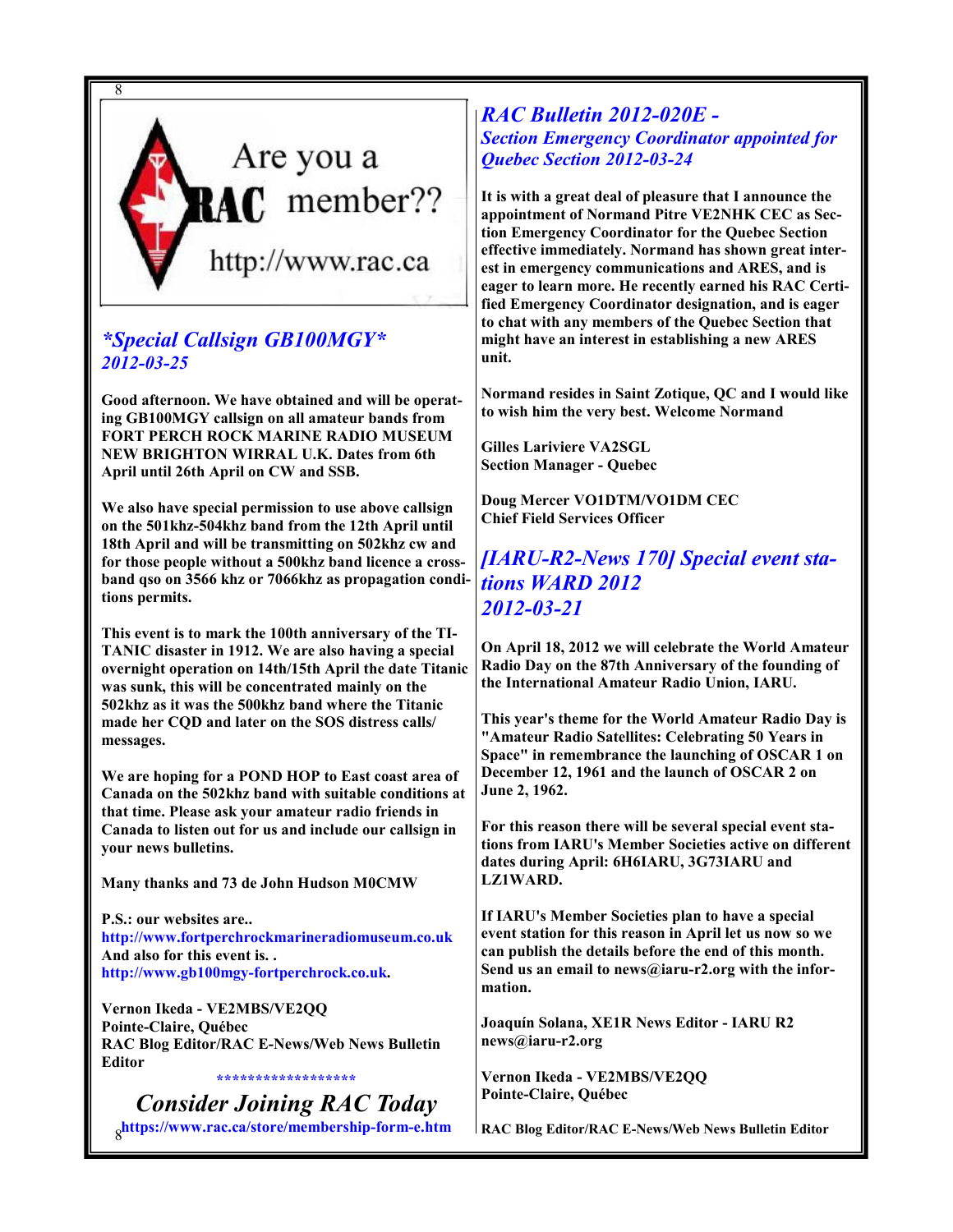

# \*Special Callsign GB100MGY\* 2012-03-25

Good afternoon. We have obtained and will be operating GB100MGY callsign on all amateur bands from FORT PERCH ROCK MARINE RADIO MUSEUM NEW BRIGHTON WIRRAL U.K. Dates from 6th April until 26th April on CW and SSB.

We also have special permission to use above callsign on the 501khz-504khz band from the 12th April until 18th April and will be transmitting on 502khz cw and for those people without a 500khz band licence a crossband qso on 3566 khz or 7066khz as propagation conditions permits.

This event is to mark the 100th anniversary of the TI-TANIC disaster in 1912. We are also having a special overnight operation on 14th/15th April the date Titanic was sunk, this will be concentrated mainly on the 502khz as it was the 500khz band where the Titanic made her CQD and later on the SOS distress calls/ messages.

We are hoping for a POND HOP to East coast area of Canada on the 502khz band with suitable conditions at that time. Please ask your amateur radio friends in Canada to listen out for us and include our callsign in your news bulletins.

Many thanks and 73 de John Hudson M0CMW

P.S.: our websites are.. http://www.fortperchrockmarineradiomuseum.co.uk And also for this event is. . http://www.gb100mgy-fortperchrock.co.uk.

Vernon Ikeda - VE2MBS/VE2QQ Pointe-Claire, Québec RAC Blog Editor/RAC E-News/Web News Bulletin Editor \*\*\*\*\*\*\*\*\*\*\*\*\*\*\*

8 https://www.rac.ca/store/membership-form-e.htm Consider Joining RAC Today

RAC Bulletin 2012-020E - **Section Emergency Coordinator appointed for** Quebec Section 2012-03-24

It is with a great deal of pleasure that I announce the appointment of Normand Pitre VE2NHK CEC as Section Emergency Coordinator for the Quebec Section effective immediately. Normand has shown great interest in emergency communications and ARES, and is eager to learn more. He recently earned his RAC Certified Emergency Coordinator designation, and is eager to chat with any members of the Quebec Section that might have an interest in establishing a new ARES unit.

Normand resides in Saint Zotique, QC and I would like to wish him the very best. Welcome Normand

Gilles Lariviere VA2SGL Section Manager - Quebec

Doug Mercer VO1DTM/VO1DM CEC Chief Field Services Officer

[IARU-R2-News 170] Special event stations WARD 2012 2012-03-21

On April 18, 2012 we will celebrate the World Amateur Radio Day on the 87th Anniversary of the founding of the International Amateur Radio Union, IARU.

This year's theme for the World Amateur Radio Day is "Amateur Radio Satellites: Celebrating 50 Years in Space" in remembrance the launching of OSCAR 1 on December 12, 1961 and the launch of OSCAR 2 on June 2, 1962.

For this reason there will be several special event stations from IARU's Member Societies active on different dates during April: 6H6IARU, 3G73IARU and LZ1WARD.

If IARU's Member Societies plan to have a special event station for this reason in April let us now so we can publish the details before the end of this month. Send us an email to news@iaru-r2.org with the information.

Joaquín Solana, XE1R News Editor - IARU R2 news@iaru-r2.org

Vernon Ikeda - VE2MBS/VE2QQ Pointe-Claire, Québec

RAC Blog Editor/RAC E-News/Web News Bulletin Editor